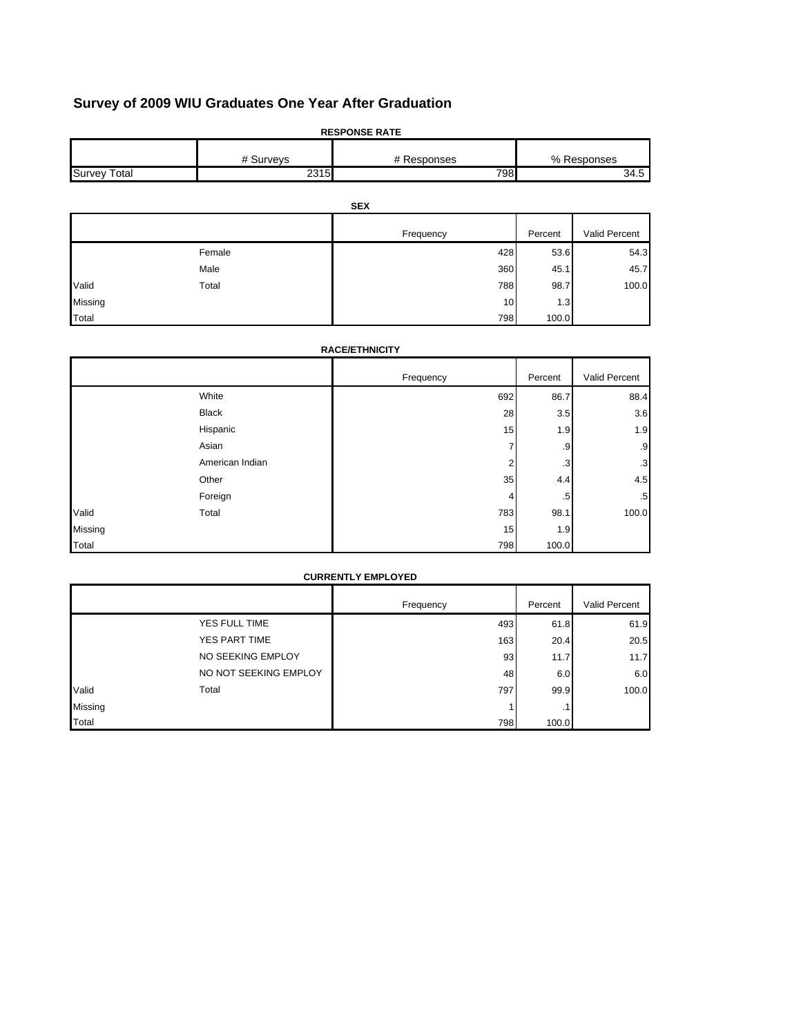# **Survey of 2009 WIU Graduates One Year After Graduation**

|                     | <b>RESPONSE RATE</b> |             |           |               |  |  |
|---------------------|----------------------|-------------|-----------|---------------|--|--|
|                     | # Surveys            | # Responses |           | % Responses   |  |  |
| <b>Survey Total</b> | 2315                 | 798         |           | 34.5          |  |  |
|                     |                      |             |           |               |  |  |
|                     |                      | <b>SEX</b>  |           |               |  |  |
|                     |                      | Frequency   | Percent   | Valid Percent |  |  |
|                     | Female               | 428         | 53.6      | 54.3          |  |  |
|                     | Male                 | 360         | 45.1      | 45.7          |  |  |
| Valid               | Total                | 788         | 98.7      | 100.0         |  |  |
| Missing             |                      |             | 10<br>1.3 |               |  |  |
| Total               |                      | 798         | 100.0     |               |  |  |

# Frequency **Percent** Valid Percent White 692 86.7 88.4 Black 28 3.5 3.6 Hispanic 15 1.9 1.9 Asian 7 .9 .9 American Indian 2 .3 Other 35 4.4 4.5 Foreign the contract of the contract of  $\sim$  .5  $\sim$  .5  $\sim$  .5  $\sim$  .5  $\sim$ Total 783 98.1 100.0 Missing 1.9 يسمى المسابق المستقلة المستقلة المستقلة المستقلة المستقلة المستقلة المستقلة المستقلة المستقلة المس 798 100.0 **RACE/ETHNICITY** Valid Total

|         | <b>CURRENTLY EMPLOYED</b> |           |         |               |  |
|---------|---------------------------|-----------|---------|---------------|--|
|         |                           | Frequency | Percent | Valid Percent |  |
|         | YES FULL TIME             | 493       | 61.8    | 61.9          |  |
|         | YES PART TIME             | 163       | 20.4    | 20.5          |  |
|         | NO SEEKING EMPLOY         | 93        | 11.7    | 11.7          |  |
|         | NO NOT SEEKING EMPLOY     | 48        | 6.0     | 6.0           |  |
| Valid   | Total                     | 797       | 99.9    | 100.0         |  |
| Missing |                           |           | . .     |               |  |
| Total   |                           | 798       | 100.0   |               |  |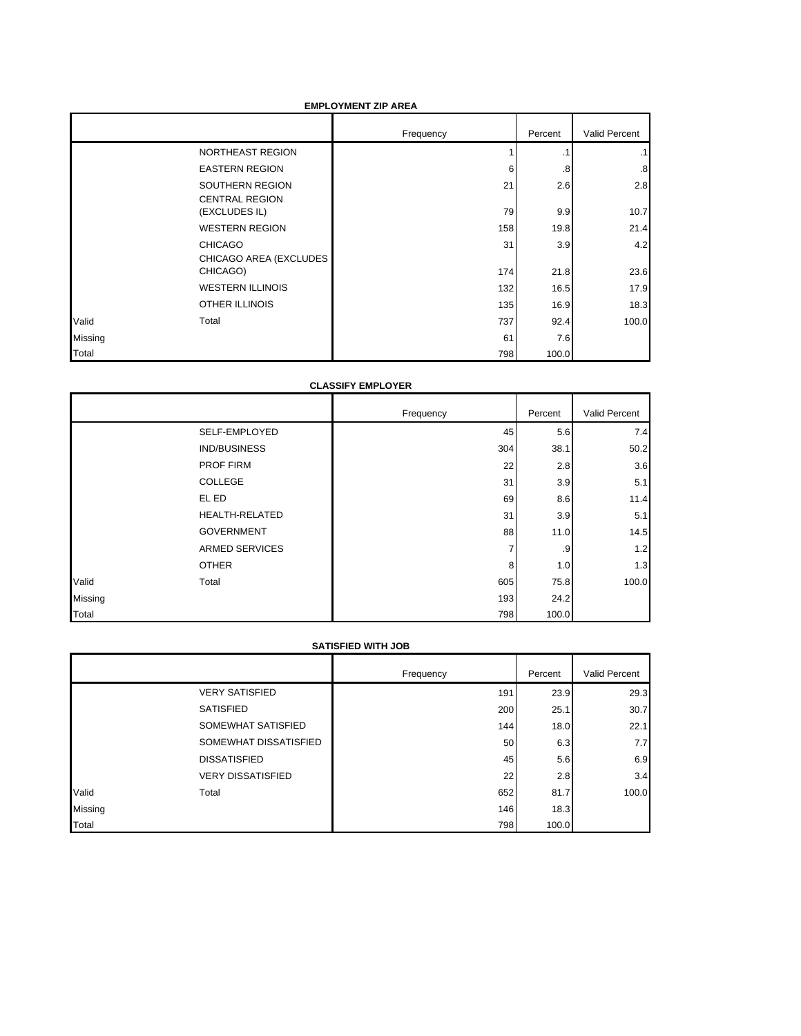# **EMPLOYMENT ZIP AREA**

|         |                                          | Frequency | Percent   | Valid Percent |
|---------|------------------------------------------|-----------|-----------|---------------|
|         | NORTHEAST REGION                         |           | $\cdot$ 1 | .1            |
|         | <b>EASTERN REGION</b>                    | 6         | .8        | .8            |
|         | SOUTHERN REGION<br><b>CENTRAL REGION</b> | 21        | 2.6       | 2.8           |
|         | (EXCLUDES IL)                            | 79        | 9.9       | 10.7          |
|         | <b>WESTERN REGION</b>                    | 158       | 19.8      | 21.4          |
|         | <b>CHICAGO</b><br>CHICAGO AREA (EXCLUDES | 31        | 3.9       | 4.2           |
|         | CHICAGO)                                 | 174       | 21.8      | 23.6          |
|         | <b>WESTERN ILLINOIS</b>                  | 132       | 16.5      | 17.9          |
|         | <b>OTHER ILLINOIS</b>                    | 135       | 16.9      | 18.3          |
| Valid   | Total                                    | 737       | 92.4      | 100.0         |
| Missing |                                          | 61        | 7.6       |               |
| Total   |                                          | 798       | 100.0     |               |

### **CLASSIFY EMPLOYER**

|         |                       | Frequency | Percent | Valid Percent |
|---------|-----------------------|-----------|---------|---------------|
|         | SELF-EMPLOYED         | 45        | 5.6     | 7.4           |
|         | <b>IND/BUSINESS</b>   | 304       | 38.1    | 50.2          |
|         | <b>PROF FIRM</b>      | 22        | 2.8     | 3.6           |
|         | COLLEGE               | 31        | 3.9     | 5.1           |
|         | EL ED                 | 69        | 8.6     | 11.4          |
|         | <b>HEALTH-RELATED</b> | 31        | 3.9     | 5.1           |
|         | <b>GOVERNMENT</b>     | 88        | 11.0    | 14.5          |
|         | <b>ARMED SERVICES</b> | ⇁         | .9      | 1.2           |
|         | <b>OTHER</b>          | 8         | 1.0     | 1.3           |
| Valid   | Total                 | 605       | 75.8    | 100.0         |
| Missing |                       | 193       | 24.2    |               |
| Total   |                       | 798       | 100.0   |               |

#### **SATISFIED WITH JOB**

|         |                          | Frequency | Percent | Valid Percent |
|---------|--------------------------|-----------|---------|---------------|
|         | <b>VERY SATISFIED</b>    | 191       | 23.9    | 29.3          |
|         | <b>SATISFIED</b>         | 200       | 25.1    | 30.7          |
|         | SOMEWHAT SATISFIED       | 144       | 18.0    | 22.1          |
|         | SOMEWHAT DISSATISFIED    | 50        | 6.3     | 7.7           |
|         | <b>DISSATISFIED</b>      | 45        | 5.6     | 6.9           |
|         | <b>VERY DISSATISFIED</b> | 22        | 2.8     | 3.4           |
| Valid   | Total                    | 652       | 81.7    | 100.0         |
| Missing |                          | 146       | 18.3    |               |
| Total   |                          | 798       | 100.0   |               |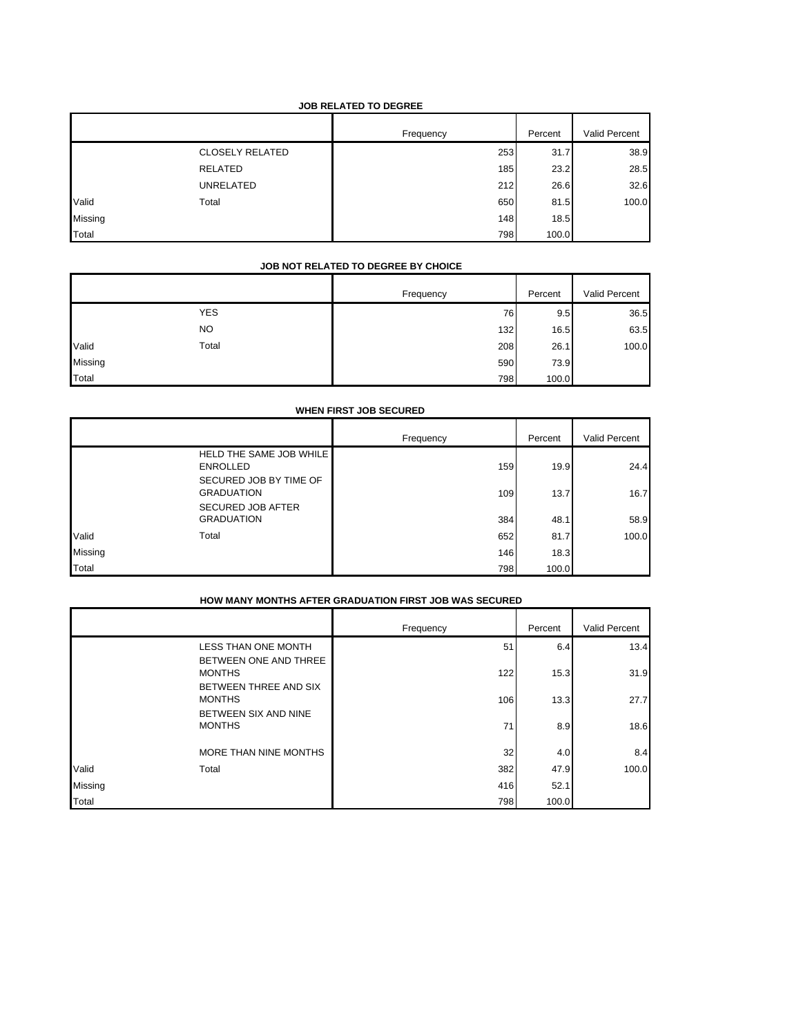# **JOB RELATED TO DEGREE**

|         |                        | Frequency | Percent | Valid Percent |
|---------|------------------------|-----------|---------|---------------|
|         | <b>CLOSELY RELATED</b> | 253       | 31.7    | 38.9          |
|         | RELATED                | 185       | 23.2    | 28.5          |
|         | UNRELATED              | 212       | 26.6    | 32.6          |
| Valid   | Total                  | 650       | 81.5    | 100.0         |
| Missing |                        | 148       | 18.5    |               |
| Total   |                        | 798       | 100.0   |               |

# **JOB NOT RELATED TO DEGREE BY CHOICE**

|         |            | Frequency | Percent | Valid Percent |
|---------|------------|-----------|---------|---------------|
|         | <b>YES</b> | 76        | 9.5     | 36.5          |
|         | <b>NO</b>  | 132       | 16.5    | 63.5          |
| Valid   | Total      | 208       | 26.1    | 100.0         |
| Missing |            | 590       | 73.9    |               |
| Total   |            | 798       | 100.0   |               |

|         | <b>WHEN FIRST JOB SECURED</b>                     |           |         |               |  |  |
|---------|---------------------------------------------------|-----------|---------|---------------|--|--|
|         |                                                   | Frequency | Percent | Valid Percent |  |  |
|         | <b>HELD THE SAME JOB WHILE</b><br><b>ENROLLED</b> | 159       | 19.9    | 24.4          |  |  |
|         | SECURED JOB BY TIME OF<br><b>GRADUATION</b>       | 109       | 13.7    | 16.7          |  |  |
|         | <b>SECURED JOB AFTER</b><br><b>GRADUATION</b>     | 384       | 48.1    | 58.9          |  |  |
| Valid   | Total                                             | 652       | 81.7    | 100.0         |  |  |
| Missing |                                                   | 146       | 18.3    |               |  |  |
| Total   |                                                   | 798       | 100.0   |               |  |  |

|         | שטאט שאזי שטניונט העוויר וויטורומים און דה שווירוטוזיוניות ויוסודי |           |         |               |  |
|---------|--------------------------------------------------------------------|-----------|---------|---------------|--|
|         |                                                                    | Frequency | Percent | Valid Percent |  |
|         | <b>LESS THAN ONE MONTH</b>                                         | 51        | 6.4     | 13.4          |  |
|         | BETWEEN ONE AND THREE<br><b>MONTHS</b>                             | 122       | 15.3    | 31.9          |  |
|         | BETWEEN THREE AND SIX<br><b>MONTHS</b>                             | 106       | 13.3    | 27.7          |  |
|         | BETWEEN SIX AND NINE<br><b>MONTHS</b>                              | 71        | 8.9     | 18.6          |  |
|         | MORE THAN NINE MONTHS                                              | 32        | 4.0     | 8.4           |  |
| Valid   | Total                                                              | 382       | 47.9    | 100.0         |  |
| Missing |                                                                    | 416       | 52.1    |               |  |
| Total   |                                                                    | 798       | 100.0   |               |  |

#### **HOW MANY MONTHS AFTER GRADUATION FIRST JOB WAS SECURED**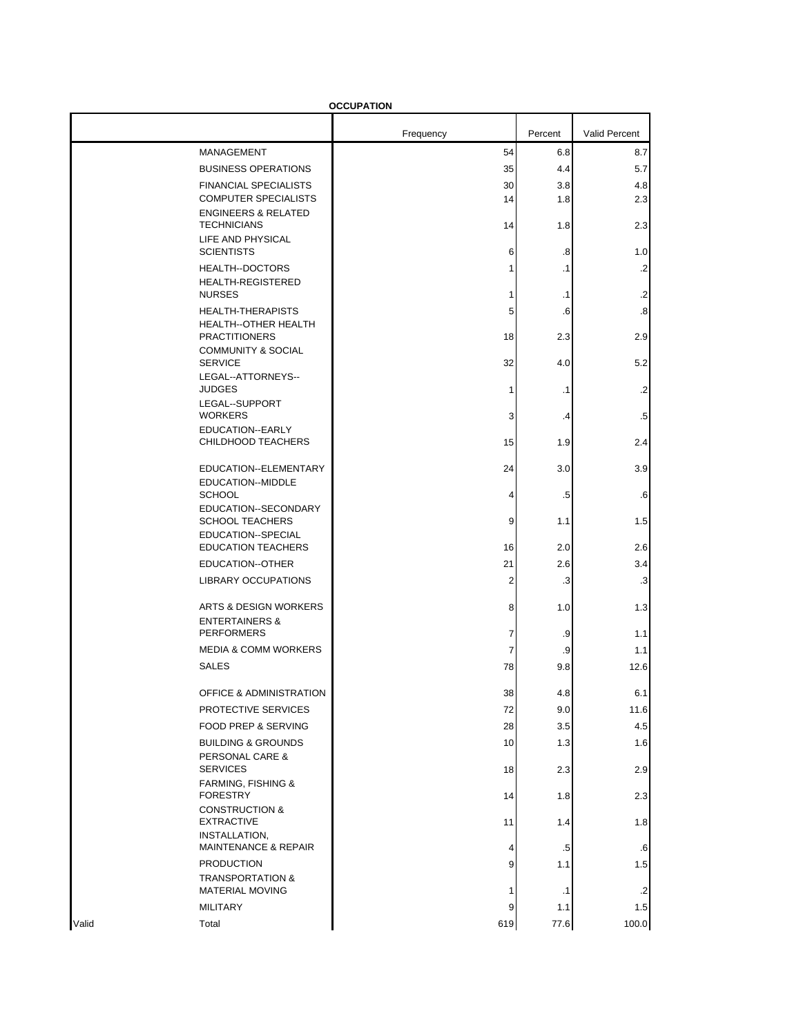|       |                                                                           | <b>OCCUPATION</b> |            |                          |
|-------|---------------------------------------------------------------------------|-------------------|------------|--------------------------|
|       |                                                                           | Frequency         | Percent    | <b>Valid Percent</b>     |
|       | MANAGEMENT                                                                | 54                | 6.8        | 8.7                      |
|       | <b>BUSINESS OPERATIONS</b>                                                | 35                | 4.4        | 5.7                      |
|       | <b>FINANCIAL SPECIALISTS</b><br><b>COMPUTER SPECIALISTS</b>               | 30<br>14          | 3.8<br>1.8 | 4.8<br>2.3               |
|       | <b>ENGINEERS &amp; RELATED</b><br><b>TECHNICIANS</b><br>LIFE AND PHYSICAL | 14                | 1.8        | 2.3                      |
|       | <b>SCIENTISTS</b>                                                         | 6                 | .8         | 1.0                      |
|       | <b>HEALTH--DOCTORS</b><br><b>HEALTH-REGISTERED</b>                        | 1                 | $\cdot$ 1  | $\cdot$                  |
|       | <b>NURSES</b>                                                             | 1                 | $\cdot$ 1  | $\cdot$                  |
|       | <b>HEALTH-THERAPISTS</b><br>HEALTH--OTHER HEALTH<br><b>PRACTITIONERS</b>  | 5<br>18           | .6<br>2.3  | $\boldsymbol{.8}$<br>2.9 |
|       | <b>COMMUNITY &amp; SOCIAL</b><br><b>SERVICE</b>                           | 32                | 4.0        | 5.2                      |
|       | LEGAL--ATTORNEYS--<br><b>JUDGES</b>                                       | 1                 | $\cdot$ 1  | $\cdot$                  |
|       | LEGAL--SUPPORT<br><b>WORKERS</b>                                          | 3                 | .4         | .5                       |
|       | EDUCATION--EARLY<br>CHILDHOOD TEACHERS                                    | 15                | 1.9        | 2.4                      |
|       | EDUCATION--ELEMENTARY                                                     | 24                | 3.0        | 3.9                      |
|       | EDUCATION--MIDDLE<br><b>SCHOOL</b>                                        | 4                 | .5         | .6                       |
|       | EDUCATION--SECONDARY<br><b>SCHOOL TEACHERS</b>                            | 9                 | 1.1        | 1.5                      |
|       | EDUCATION--SPECIAL<br><b>EDUCATION TEACHERS</b>                           | 16                | 2.0        | 2.6                      |
|       | EDUCATION--OTHER                                                          | 21                | 2.6        | 3.4                      |
|       | <b>LIBRARY OCCUPATIONS</b>                                                | 2                 | .3         | .3                       |
|       | <b>ARTS &amp; DESIGN WORKERS</b><br><b>ENTERTAINERS &amp;</b>             | 8                 | 1.0        | 1.3                      |
|       | <b>PERFORMERS</b>                                                         | 7                 | .9         | 1.1                      |
|       | <b>MEDIA &amp; COMM WORKERS</b>                                           | 7                 | .9         | 1.1                      |
|       | <b>SALES</b>                                                              | 78                | 9.8        | 12.6                     |
|       | OFFICE & ADMINISTRATION                                                   | 38                | 4.8        | 6.1                      |
|       | PROTECTIVE SERVICES                                                       | 72                | 9.0        | 11.6                     |
|       | FOOD PREP & SERVING<br><b>BUILDING &amp; GROUNDS</b>                      | 28<br>10          | 3.5<br>1.3 | 4.5<br>1.6               |
|       | PERSONAL CARE &<br><b>SERVICES</b>                                        | 18                | 2.3        | 2.9                      |
|       | <b>FARMING, FISHING &amp;</b><br><b>FORESTRY</b>                          | 14                | 1.8        | 2.3                      |
|       | <b>CONSTRUCTION &amp;</b><br><b>EXTRACTIVE</b><br>INSTALLATION,           | 11                | 1.4        | 1.8                      |
|       | <b>MAINTENANCE &amp; REPAIR</b>                                           | 4                 | $.5\,$     | .6                       |
|       | <b>PRODUCTION</b><br><b>TRANSPORTATION &amp;</b>                          | 9                 | 1.1        | 1.5                      |
|       | <b>MATERIAL MOVING</b>                                                    | 1                 | $\cdot$ 1  | $\cdot$                  |
|       | <b>MILITARY</b>                                                           | 9                 | 1.1        | 1.5                      |
| Valid | Total                                                                     | 619               | 77.6       | 100.0                    |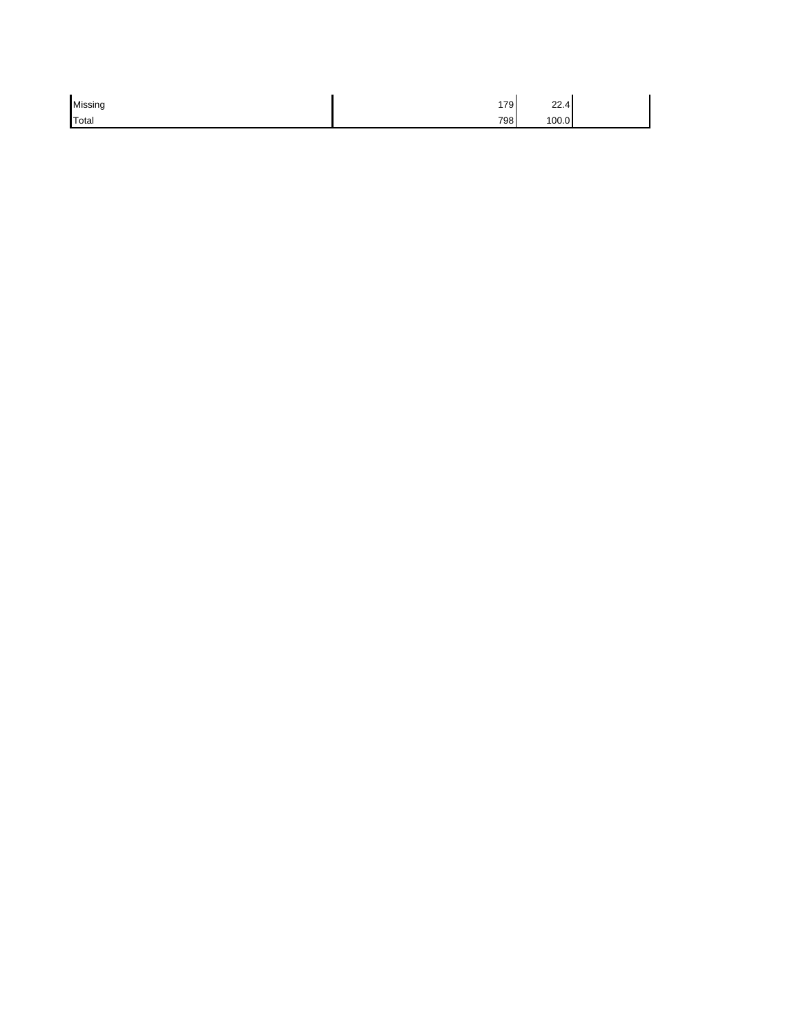| Missing | 179 | 22.4  |  |
|---------|-----|-------|--|
| Total   | 798 | 100.0 |  |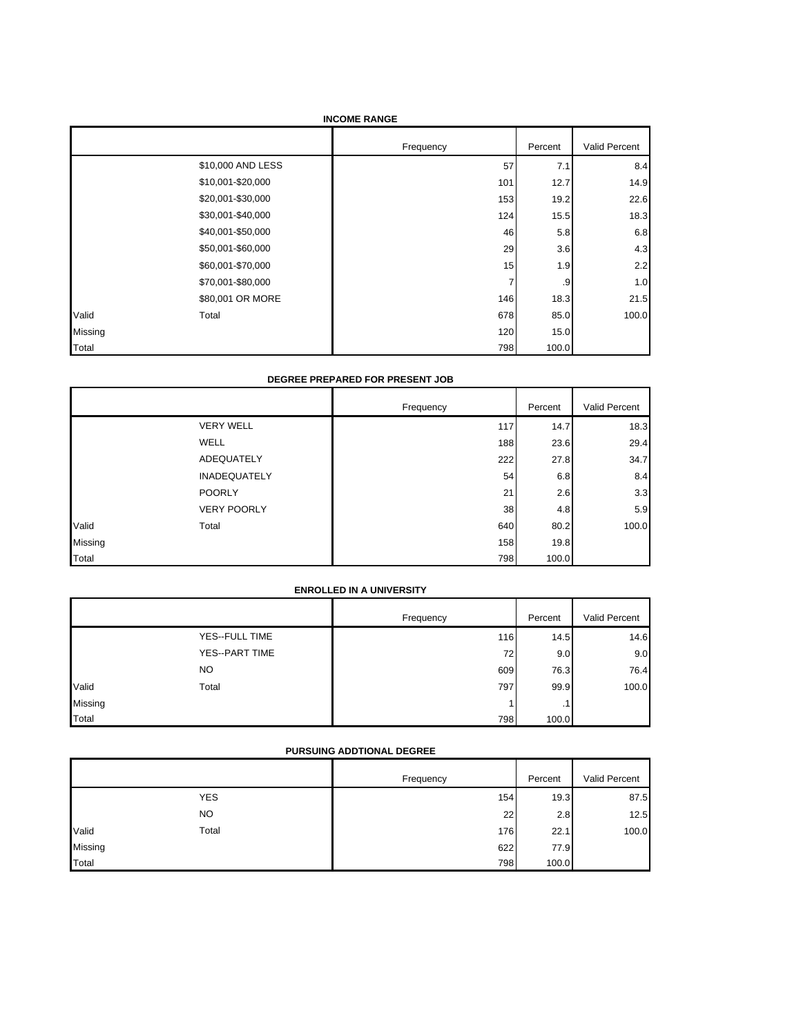|         | <b>INCOME RANGE</b> |           |         |               |  |
|---------|---------------------|-----------|---------|---------------|--|
|         |                     | Frequency | Percent | Valid Percent |  |
|         | \$10,000 AND LESS   | 57        | 7.1     | 8.4           |  |
|         | \$10,001-\$20,000   | 101       | 12.7    | 14.9          |  |
|         | \$20,001-\$30,000   | 153       | 19.2    | 22.6          |  |
|         | \$30,001-\$40,000   | 124       | 15.5    | 18.3          |  |
|         | \$40,001-\$50,000   | 46        | 5.8     | 6.8           |  |
|         | \$50,001-\$60,000   | 29        | 3.6     | 4.3           |  |
|         | \$60,001-\$70,000   | 15        | 1.9     | 2.2           |  |
|         | \$70,001-\$80,000   | 7         | .9      | 1.0           |  |
|         | \$80,001 OR MORE    | 146       | 18.3    | 21.5          |  |
| Valid   | Total               | 678       | 85.0    | 100.0         |  |
| Missing |                     | 120       | 15.0    |               |  |
| Total   |                     | 798       | 100.0   |               |  |

#### **DEGREE PREPARED FOR PRESENT JOB**

|         |                     | Frequency | Percent | Valid Percent |
|---------|---------------------|-----------|---------|---------------|
|         | <b>VERY WELL</b>    | 117       | 14.7    | 18.3          |
|         | <b>WELL</b>         | 188       | 23.6    | 29.4          |
|         | ADEQUATELY          | 222       | 27.8    | 34.7          |
|         | <b>INADEQUATELY</b> | 54        | 6.8     | 8.4           |
|         | <b>POORLY</b>       | 21        | 2.6     | 3.3           |
|         | <b>VERY POORLY</b>  | 38        | 4.8     | 5.9           |
| Valid   | Total               | 640       | 80.2    | 100.0         |
| Missing |                     | 158       | 19.8    |               |
| Total   |                     | 798       | 100.0   |               |

# **ENROLLED IN A UNIVERSITY**

|         |                | Frequency | Percent   | Valid Percent |
|---------|----------------|-----------|-----------|---------------|
|         | YES--FULL TIME | 116       | 14.5      | 14.6          |
|         | YES--PART TIME | 72        | 9.0       | 9.0           |
|         | <b>NO</b>      | 609       | 76.3      | 76.4          |
| Valid   | Total          | 797       | 99.9      | 100.0         |
| Missing |                |           | $\cdot$ 1 |               |
| Total   |                | 798       | 100.0     |               |

# **PURSUING ADDTIONAL DEGREE**

|         |            | Frequency | Percent | Valid Percent |
|---------|------------|-----------|---------|---------------|
|         | <b>YES</b> | 154       | 19.3    | 87.5          |
|         | <b>NO</b>  | 22        | 2.8     | 12.5          |
| Valid   | Total      | 176       | 22.1    | 100.0         |
| Missing |            | 622       | 77.9    |               |
| Total   |            | 798       | 100.0   |               |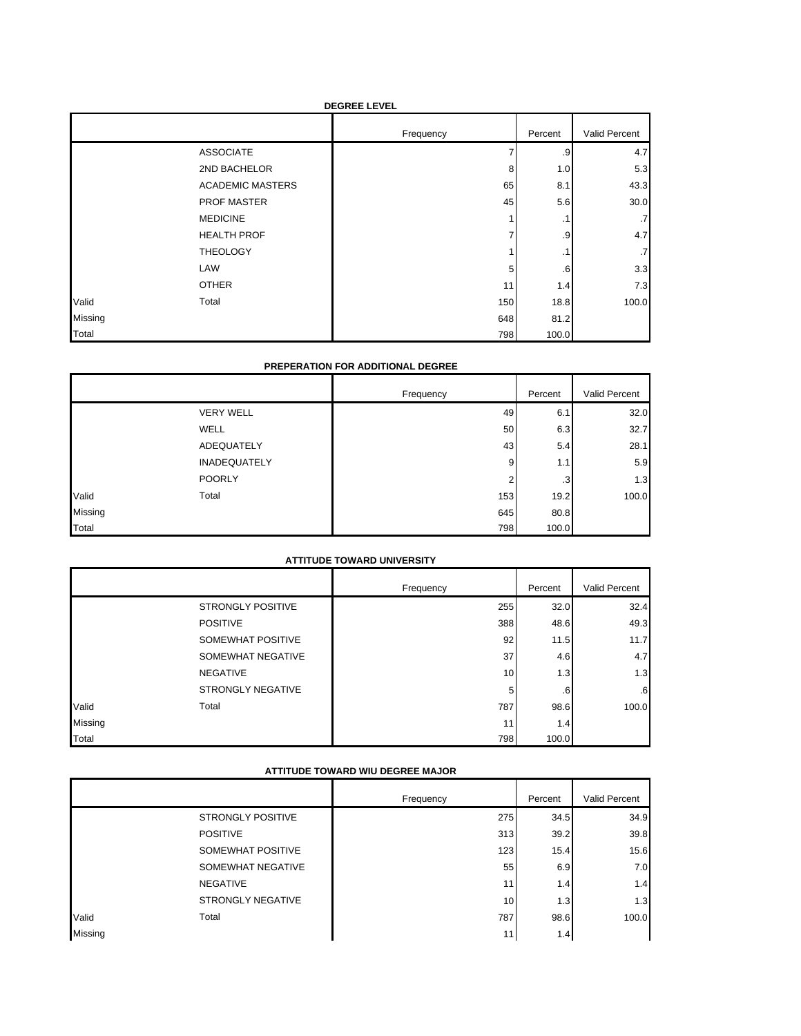| <b>DEGREE LEVEL</b> |                         |           |             |                 |
|---------------------|-------------------------|-----------|-------------|-----------------|
|                     |                         | Frequency | Percent     | Valid Percent   |
|                     | <b>ASSOCIATE</b>        |           | .9          | 4.7             |
|                     | 2ND BACHELOR            | 8         | 1.0         | 5.3             |
|                     | <b>ACADEMIC MASTERS</b> | 65        | 8.1         | 43.3            |
|                     | <b>PROF MASTER</b>      | 45        | 5.6         | 30.0            |
|                     | <b>MEDICINE</b>         |           | .1          | .7              |
|                     | <b>HEALTH PROF</b>      |           | .9          | 4.7             |
|                     | <b>THEOLOGY</b>         |           | $\cdot$ 1   | $.7\phantom{0}$ |
|                     | LAW                     | 5         | $6^{\circ}$ | 3.3             |
|                     | <b>OTHER</b>            | 11        | 1.4         | 7.3             |
| Valid               | Total                   | 150       | 18.8        | 100.0           |
| Missing             |                         | 648       | 81.2        |                 |
| Total               |                         | 798       | 100.0       |                 |

### **PREPERATION FOR ADDITIONAL DEGREE**

|         |                     | Frequency | Percent | Valid Percent |
|---------|---------------------|-----------|---------|---------------|
|         | <b>VERY WELL</b>    | 49        | 6.1     | 32.0          |
|         | <b>WELL</b>         | 50        | 6.3     | 32.7          |
|         | ADEQUATELY          | 43        | 5.4     | 28.1          |
|         | <b>INADEQUATELY</b> | 9         | 1.1     | 5.9           |
|         | <b>POORLY</b>       | 2         | .3      | 1.3           |
| Valid   | Total               | 153       | 19.2    | 100.0         |
| Missing |                     | 645       | 80.8    |               |
| Total   |                     | 798       | 100.0   |               |

# **ATTITUDE TOWARD UNIVERSITY**

|              |                          | Frequency | Percent      | Valid Percent |
|--------------|--------------------------|-----------|--------------|---------------|
|              | <b>STRONGLY POSITIVE</b> | 255       | 32.0         | 32.4          |
|              | <b>POSITIVE</b>          | 388       | 48.6         | 49.3          |
|              | SOMEWHAT POSITIVE        | 92        | 11.5         | 11.7          |
|              | SOMEWHAT NEGATIVE        | 37        | 4.6          | 4.7           |
|              | <b>NEGATIVE</b>          | 10        | 1.3          | 1.3           |
|              | <b>STRONGLY NEGATIVE</b> | 5         | $.6^{\circ}$ | 6             |
| Valid        | Total                    | 787       | 98.6         | 100.0         |
| Missing      |                          | 11        | 1.4          |               |
| <b>Total</b> |                          | 798       | 100.0        |               |

# **ATTITUDE TOWARD WIU DEGREE MAJOR**

|         |                          | Frequency | Percent | Valid Percent |
|---------|--------------------------|-----------|---------|---------------|
|         | <b>STRONGLY POSITIVE</b> | 275       | 34.5    | 34.9          |
|         | <b>POSITIVE</b>          | 313       | 39.2    | 39.8          |
|         | SOMEWHAT POSITIVE        | 123       | 15.4    | 15.6          |
|         | SOMEWHAT NEGATIVE        | 55        | 6.9     | 7.0           |
|         | <b>NEGATIVE</b>          | 11        | 1.4     | 1.4           |
|         | <b>STRONGLY NEGATIVE</b> | 10        | 1.3     | 1.3           |
| Valid   | Total                    | 787       | 98.6    | 100.0         |
| Missing |                          | 11        | 1.4     |               |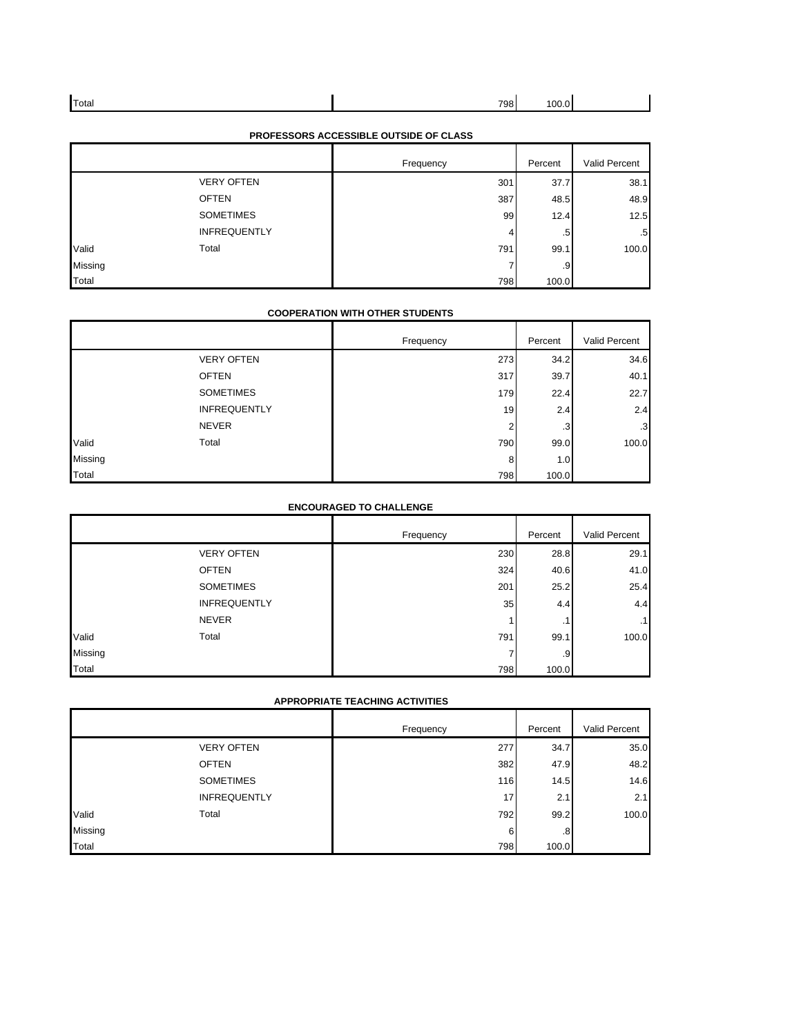| Total | 798 |  |
|-------|-----|--|
|       |     |  |

| PROFESSORS ACCESSIBLE OUTSIDE OF CLASS |  |  |  |
|----------------------------------------|--|--|--|
|----------------------------------------|--|--|--|

|         |                     | Frequency | Percent     | Valid Percent |
|---------|---------------------|-----------|-------------|---------------|
|         | <b>VERY OFTEN</b>   | 301       | 37.7        | 38.1          |
|         | <b>OFTEN</b>        | 387       | 48.5        | 48.9          |
|         | <b>SOMETIMES</b>    | 99        | 12.4        | 12.5          |
|         | <b>INFREQUENTLY</b> | 4         | $5^{\circ}$ | .5            |
| Valid   | Total               | 791       | 99.1        | 100.0         |
| Missing |                     | 7         | -9          |               |
| Total   |                     | 798       | 100.0       |               |

### **COOPERATION WITH OTHER STUDENTS**

|         |                     | Frequency | Percent | Valid Percent |
|---------|---------------------|-----------|---------|---------------|
|         | <b>VERY OFTEN</b>   | 273       | 34.2    | 34.6          |
|         | <b>OFTEN</b>        | 317       | 39.7    | 40.1          |
|         | <b>SOMETIMES</b>    | 179       | 22.4    | 22.7          |
|         | <b>INFREQUENTLY</b> | 19        | 2.4     | 2.4           |
|         | <b>NEVER</b>        | ◠         | .3      | $\cdot$ 3     |
| Valid   | Total               | 790       | 99.0    | 100.0         |
| Missing |                     | 8         | 1.0     |               |
| Total   |                     | 798       | 100.0   |               |

### **ENCOURAGED TO CHALLENGE**

|         |                     | Frequency | Percent   | Valid Percent |
|---------|---------------------|-----------|-----------|---------------|
|         | <b>VERY OFTEN</b>   | 230       | 28.8      | 29.1          |
|         | <b>OFTEN</b>        | 324       | 40.6      | 41.0          |
|         | <b>SOMETIMES</b>    | 201       | 25.2      | 25.4          |
|         | <b>INFREQUENTLY</b> | 35        | 4.4       | 4.4           |
|         | <b>NEVER</b>        |           | $\cdot$ 1 | $\cdot$ 1     |
| Valid   | Total               | 791       | 99.1      | 100.0         |
| Missing |                     |           | 9         |               |
| Total   |                     | 798       | 100.0     |               |

#### **APPROPRIATE TEACHING ACTIVITIES**

|                |                     | Frequency | Percent | Valid Percent |
|----------------|---------------------|-----------|---------|---------------|
|                | <b>VERY OFTEN</b>   | 277       | 34.7    | 35.0          |
|                | <b>OFTEN</b>        | 382       | 47.9    | 48.2          |
|                | <b>SOMETIMES</b>    | 116       | 14.5    | 14.6          |
|                | <b>INFREQUENTLY</b> | 17        | 2.1     | 2.1           |
| Valid          | Total               | 792       | 99.2    | 100.0         |
| <b>Missing</b> |                     | 6         | .8      |               |
| Total          |                     | 798       | 100.0   |               |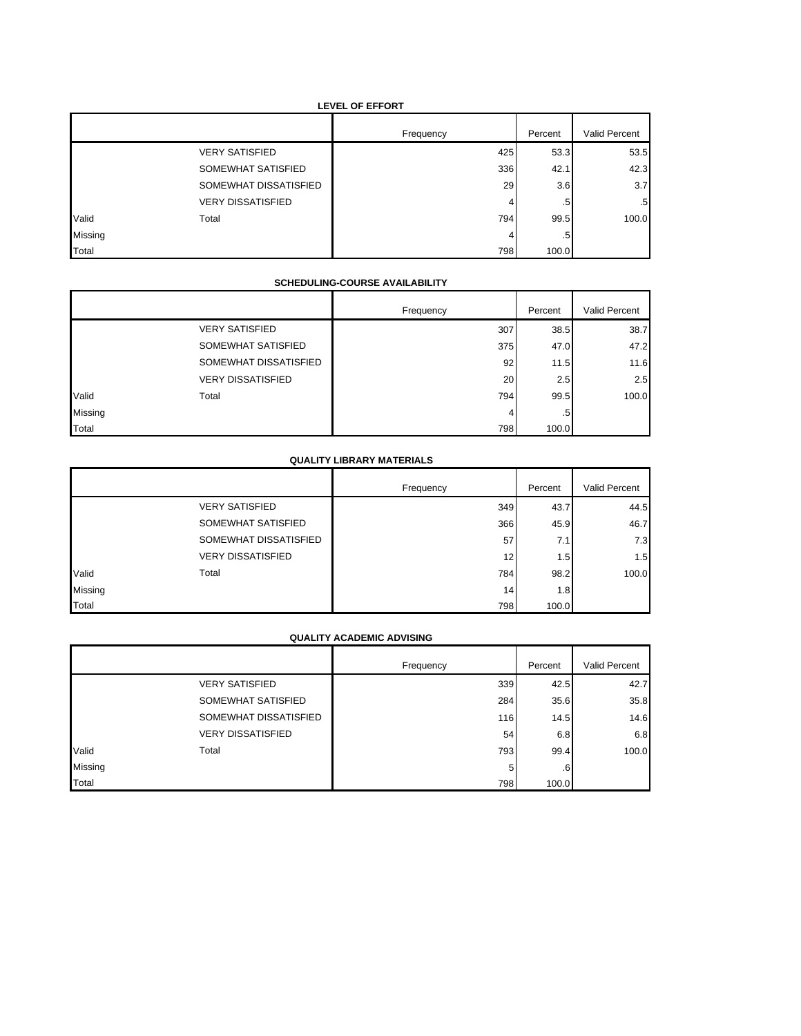# **LEVEL OF EFFORT**

|         |                          | Frequency | Percent | Valid Percent |
|---------|--------------------------|-----------|---------|---------------|
|         | <b>VERY SATISFIED</b>    | 425       | 53.3    | 53.5          |
|         | SOMEWHAT SATISFIED       | 336       | 42.1    | 42.3          |
|         | SOMEWHAT DISSATISFIED    | 29        | 3.6     | 3.7           |
|         | <b>VERY DISSATISFIED</b> | 4         | .5      | $.5^{\circ}$  |
| Valid   | Total                    | 794       | 99.5    | 100.0         |
| Missing |                          | 4         | .5      |               |
| Total   |                          | 798       | 100.0   |               |

### **SCHEDULING-COURSE AVAILABILITY**

|         |                          | Frequency | Percent      | Valid Percent |
|---------|--------------------------|-----------|--------------|---------------|
|         | <b>VERY SATISFIED</b>    | 307       | 38.5         | 38.7          |
|         | SOMEWHAT SATISFIED       | 375       | 47.0         | 47.2          |
|         | SOMEWHAT DISSATISFIED    | 92        | 11.5         | 11.6          |
|         | <b>VERY DISSATISFIED</b> | 20        | 2.5          | 2.5           |
| Valid   | Total                    | 794       | 99.5         | 100.0         |
| Missing |                          | 4         | $.5^{\circ}$ |               |
| Total   |                          | 798       | 100.0        |               |

# **QUALITY LIBRARY MATERIALS**

|         |                          | Frequency | Percent | Valid Percent |
|---------|--------------------------|-----------|---------|---------------|
|         | <b>VERY SATISFIED</b>    | 349       | 43.7    | 44.5          |
|         | SOMEWHAT SATISFIED       | 366       | 45.9    | 46.7          |
|         | SOMEWHAT DISSATISFIED    | 57        | 7.1     | 7.3           |
|         | <b>VERY DISSATISFIED</b> | 12        | 1.5     | 1.5           |
| Valid   | Total                    | 784       | 98.2    | 100.0         |
| Missing |                          | 14        | 1.8     |               |
| Total   |                          | 798       | 100.0   |               |

### **QUALITY ACADEMIC ADVISING**

|         |                          | Frequency | Percent        | Valid Percent |
|---------|--------------------------|-----------|----------------|---------------|
|         | <b>VERY SATISFIED</b>    | 339       | 42.5           | 42.7          |
|         | SOMEWHAT SATISFIED       | 284       | 35.6           | 35.8          |
|         | SOMEWHAT DISSATISFIED    | 116       | 14.5           | 14.6          |
|         | <b>VERY DISSATISFIED</b> | 54        | 6.8            | 6.8           |
| Valid   | Total                    | 793       | 99.4           | 100.0         |
| Missing |                          | 5         | 6 <sup>1</sup> |               |
| Total   |                          | 798       | 100.0          |               |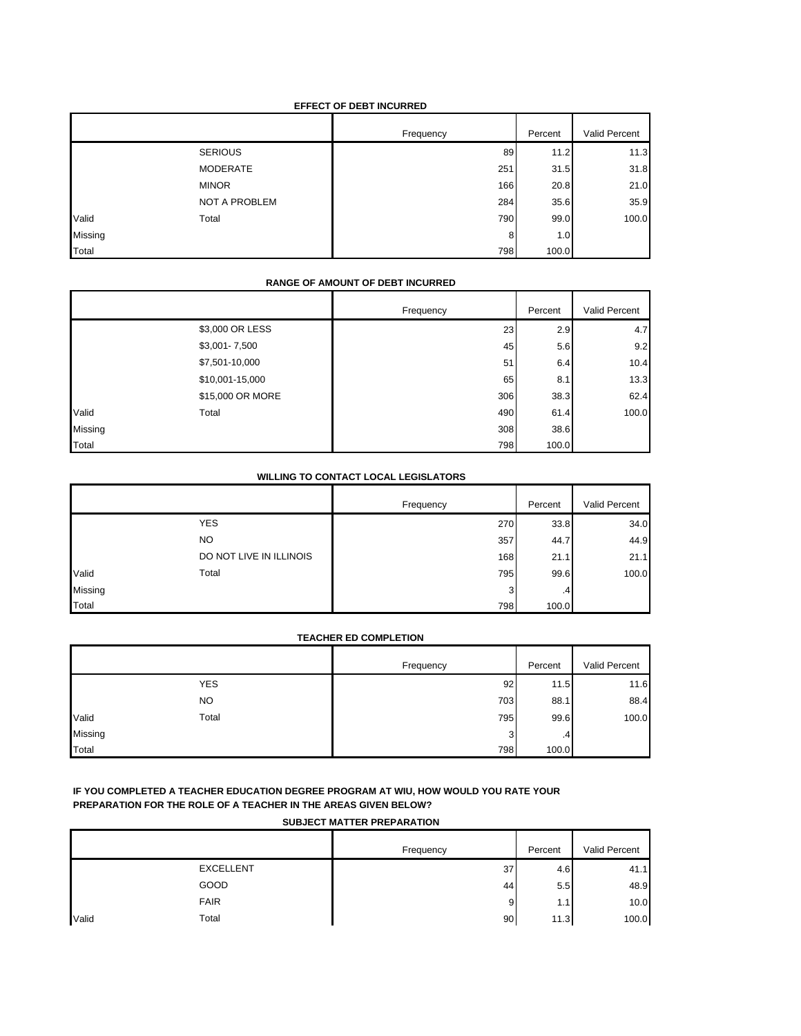### **EFFECT OF DEBT INCURRED**

|         |                 | Frequency | Percent | Valid Percent |
|---------|-----------------|-----------|---------|---------------|
|         | <b>SERIOUS</b>  | 89        | 11.2    | 11.3          |
|         | <b>MODERATE</b> | 251       | 31.5    | 31.8          |
|         | <b>MINOR</b>    | 166       | 20.8    | 21.0          |
|         | NOT A PROBLEM   | 284       | 35.6    | 35.9          |
| Valid   | Total           | 790       | 99.0    | 100.0         |
| Missing |                 | 8         | 1.0     |               |
| Total   |                 | 798       | 100.0   |               |

### **RANGE OF AMOUNT OF DEBT INCURRED**

|         |                  | Frequency | Percent | Valid Percent |
|---------|------------------|-----------|---------|---------------|
|         | \$3,000 OR LESS  | 23        | 2.9     | 4.7           |
|         | \$3,001-7,500    | 45        | 5.6     | 9.2           |
|         | \$7,501-10,000   | 51        | 6.4     | 10.4          |
|         | \$10,001-15,000  | 65        | 8.1     | 13.3          |
|         | \$15,000 OR MORE | 306       | 38.3    | 62.4          |
| Valid   | Total            | 490       | 61.4    | 100.0         |
| Missing |                  | 308       | 38.6    |               |
| Total   |                  | 798       | 100.0   |               |

#### **WILLING TO CONTACT LOCAL LEGISLATORS**

|         |                         | Frequency | Percent | Valid Percent |
|---------|-------------------------|-----------|---------|---------------|
|         | <b>YES</b>              | 270       | 33.8    | 34.0          |
|         | <b>NO</b>               | 357       | 44.7    | 44.9          |
|         | DO NOT LIVE IN ILLINOIS | 168       | 21.1    | 21.1          |
| Valid   | Total                   | 795       | 99.6    | 100.0         |
| Missing |                         | 3         | .4      |               |
| Total   |                         | 798       | 100.0   |               |

#### **TEACHER ED COMPLETION**

|         |            | Frequency | Percent | Valid Percent |
|---------|------------|-----------|---------|---------------|
|         | <b>YES</b> | 92        | 11.5    | 11.6          |
|         | NO.        | 703       | 88.1    | 88.4          |
| Valid   | Total      | 795       | 99.6    | 100.0         |
| Missing |            | 3         | .4      |               |
| Total   |            | 798       | 100.0   |               |

### **IF YOU COMPLETED A TEACHER EDUCATION DEGREE PROGRAM AT WIU, HOW WOULD YOU RATE YOUR PREPARATION FOR THE ROLE OF A TEACHER IN THE AREAS GIVEN BELOW?**

#### **SUBJECT MATTER PREPARATION**

|       |                  | Frequency | Percent | Valid Percent |
|-------|------------------|-----------|---------|---------------|
|       | <b>EXCELLENT</b> | 37        | 4.6     | 41.1          |
|       | GOOD             | 44        | 5.5     | 48.9          |
|       | <b>FAIR</b>      | 9         | 1.1     | 10.0          |
| Valid | Total            | 90        | 11.3    | 100.0         |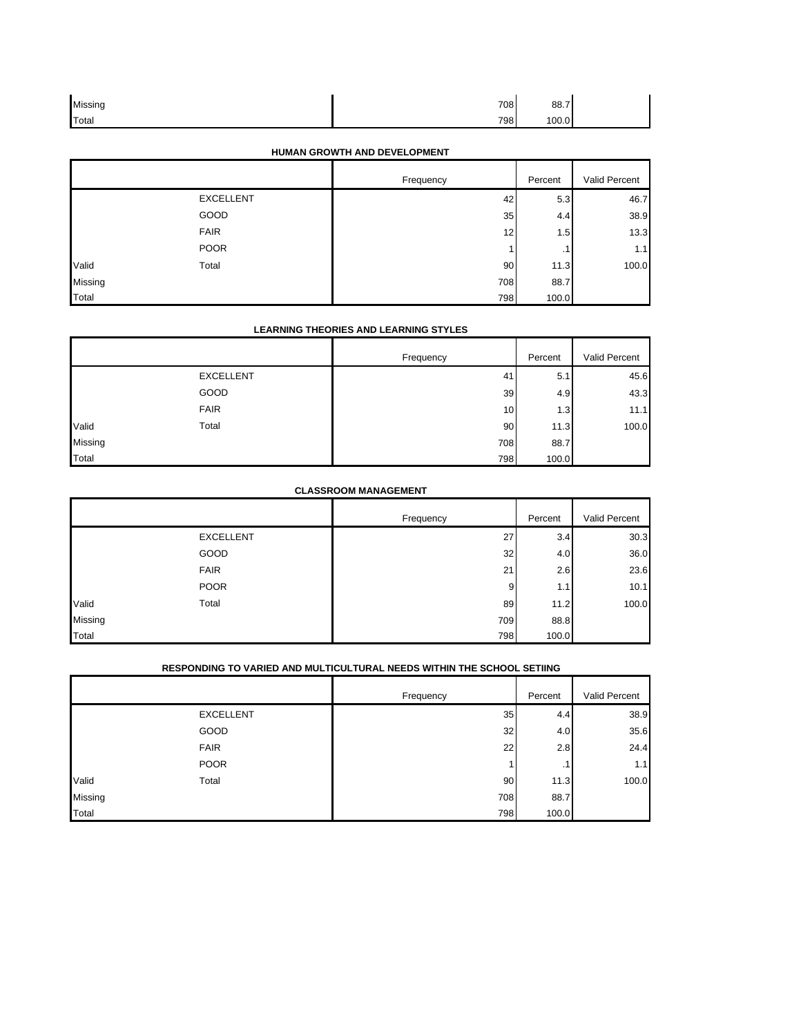| Missing | 708 | 88.7  |  |
|---------|-----|-------|--|
| Total   | 798 | 100.0 |  |

# **HUMAN GROWTH AND DEVELOPMENT**

|         |                  | Frequency | Percent | Valid Percent |
|---------|------------------|-----------|---------|---------------|
|         | <b>EXCELLENT</b> | 42        | 5.3     | 46.7          |
|         | GOOD             | 35        | 4.4     | 38.9          |
|         | <b>FAIR</b>      | 12        | 1.5     | 13.3          |
|         | <b>POOR</b>      |           | . .     | 1.1           |
| Valid   | Total            | 90        | 11.3    | 100.0         |
| Missing |                  | 708       | 88.7    |               |
| Total   |                  | 798       | 100.0   |               |

# **LEARNING THEORIES AND LEARNING STYLES**

|         |                  | Frequency | Percent | Valid Percent |
|---------|------------------|-----------|---------|---------------|
|         | <b>EXCELLENT</b> | 41        | 5.1     | 45.6          |
|         | GOOD             | 39        | 4.9     | 43.3          |
|         | <b>FAIR</b>      | 10        | 1.3     | 11.1          |
| Valid   | Total            | 90        | 11.3    | 100.0         |
| Missing |                  | 708       | 88.7    |               |
| Total   |                  | 798       | 100.0   |               |

### **CLASSROOM MANAGEMENT**

|         |                  | Frequency | Percent | Valid Percent |
|---------|------------------|-----------|---------|---------------|
|         | <b>EXCELLENT</b> | 27        | 3.4     | 30.3          |
|         | GOOD             | 32        | 4.0     | 36.0          |
|         | <b>FAIR</b>      | 21        | 2.6     | 23.6          |
|         | <b>POOR</b>      | 9         | 1.1     | 10.1          |
| Valid   | Total            | 89        | 11.2    | 100.0         |
| Missing |                  | 709       | 88.8    |               |
| Total   |                  | 798       | 100.0   |               |

# **RESPONDING TO VARIED AND MULTICULTURAL NEEDS WITHIN THE SCHOOL SETIING**

|         |                  | Frequency | Percent | Valid Percent |
|---------|------------------|-----------|---------|---------------|
|         | <b>EXCELLENT</b> | 35        | 4.4     | 38.9          |
|         | GOOD             | 32        | 4.0     | 35.6          |
|         | <b>FAIR</b>      | 22        | 2.8     | 24.4          |
|         | <b>POOR</b>      |           | . .     | 1.1           |
| Valid   | Total            | 90        | 11.3    | 100.0         |
| Missing |                  | 708       | 88.7    |               |
| Total   |                  | 798       | 100.0   |               |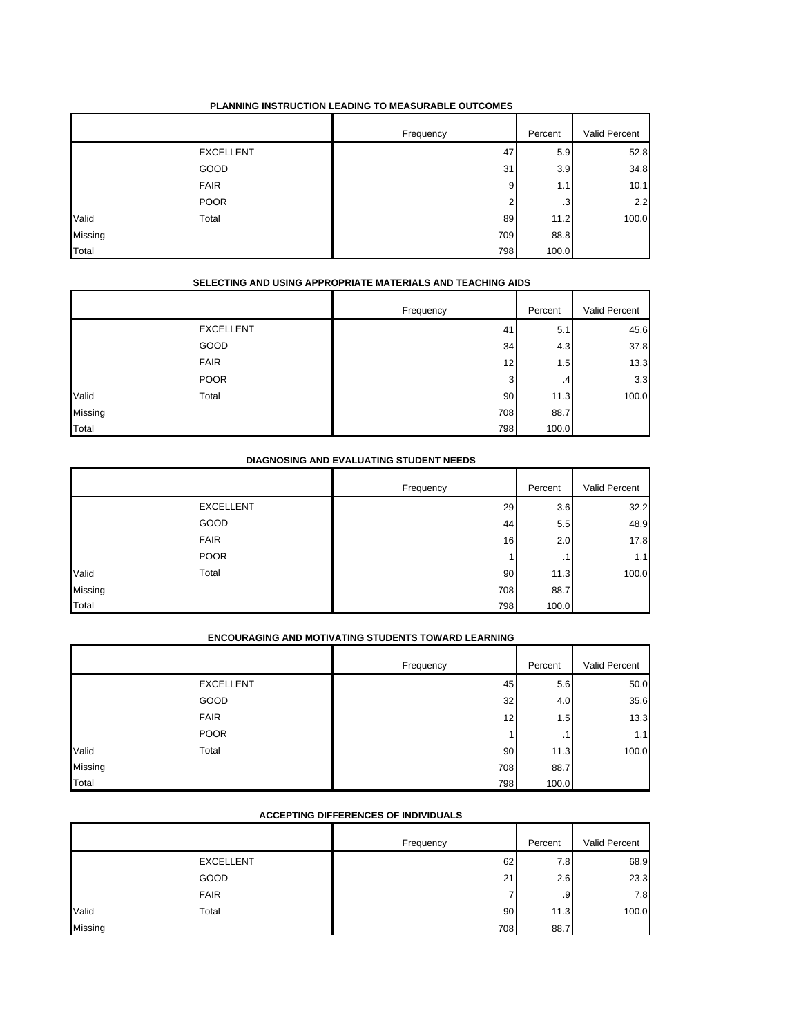### **PLANNING INSTRUCTION LEADING TO MEASURABLE OUTCOMES**

|         |                  | Frequency | Percent        | Valid Percent |
|---------|------------------|-----------|----------------|---------------|
|         | <b>EXCELLENT</b> | 47        | 5.9            | 52.8          |
|         | GOOD             | 31        | 3.9            | 34.8          |
|         | <b>FAIR</b>      | 9         | 1.1            | 10.1          |
|         | <b>POOR</b>      | c         | 3 <sup>1</sup> | 2.2           |
| Valid   | Total            | 89        | 11.2           | 100.0         |
| Missing |                  | 709       | 88.8           |               |
| Total   |                  | 798       | 100.0          |               |

# **SELECTING AND USING APPROPRIATE MATERIALS AND TEACHING AIDS**

|         |                  | Frequency | Percent        | Valid Percent |
|---------|------------------|-----------|----------------|---------------|
|         | <b>EXCELLENT</b> | 41        | 5.1            | 45.6          |
|         | GOOD             | 34        | 4.3            | 37.8          |
|         | <b>FAIR</b>      | 12        | 1.5            | 13.3          |
|         | <b>POOR</b>      | 3         | $\overline{4}$ | 3.3           |
| Valid   | Total            | 90        | 11.3           | 100.0         |
| Missing |                  | 708       | 88.7           |               |
| Total   |                  | 798       | 100.0          |               |

# **DIAGNOSING AND EVALUATING STUDENT NEEDS**

|         |                  | Frequency | Percent | Valid Percent |
|---------|------------------|-----------|---------|---------------|
|         | <b>EXCELLENT</b> | 29        | 3.6     | 32.2          |
|         | GOOD             | 44        | 5.5     | 48.9          |
|         | <b>FAIR</b>      | 16        | 2.0     | 17.8          |
|         | <b>POOR</b>      |           | . .     | 1.1           |
| Valid   | Total            | 90        | 11.3    | 100.0         |
| Missing |                  | 708       | 88.7    |               |
| Total   |                  | 798       | 100.0   |               |

# **ENCOURAGING AND MOTIVATING STUDENTS TOWARD LEARNING**

|         |                  | Frequency | Percent          | Valid Percent |
|---------|------------------|-----------|------------------|---------------|
|         | <b>EXCELLENT</b> | 45        | 5.6              | 50.0          |
|         | GOOD             | 32        | 4.0              | 35.6          |
|         | <b>FAIR</b>      | 12        | 1.5 <sub>1</sub> | 13.3          |
|         | <b>POOR</b>      |           | . .              | 1.1           |
| Valid   | Total            | 90        | 11.3             | 100.0         |
| Missing |                  | 708       | 88.7             |               |
| Total   |                  | 798       | 100.0            |               |

#### **ACCEPTING DIFFERENCES OF INDIVIDUALS**

|         |                  | Frequency | Percent | Valid Percent |
|---------|------------------|-----------|---------|---------------|
|         | <b>EXCELLENT</b> | 62        | 7.8     | 68.9          |
|         | GOOD             | 21        | 2.6     | 23.3          |
|         | <b>FAIR</b>      |           | .9      | 7.8           |
| Valid   | Total            | 90        | 11.3    | 100.0         |
| Missing |                  | 708       | 88.7    |               |